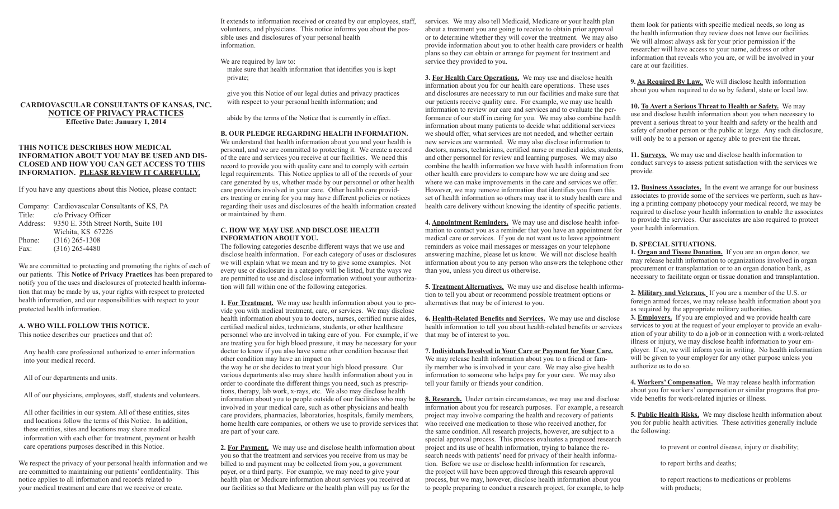It extends to information received or created by our employees, staff, volunteers, and physicians. This notice informs you about the possible uses and disclosures of your personal health information.

We are required by law to: make sure that health information that identifies you is kept private;

give you this Notice of our legal duties and privacy practices with respect to your personal health information; and

abide by the terms of the Notice that is currently in effect.

### **B. OUR PLEDGE REGARDING HEALTH INFORMATION.**

We understand that health information about you and your health is personal, and we are committed to protecting it. We create a record of the care and services you receive at our facilities. We need this record to provide you with quality care and to comply with certain legal requirements. This Notice applies to all of the records of your care generated by us, whether made by our personnel or other health care providers involved in your care. Other health care providers treating or caring for you may have different policies or notices regarding their uses and disclosures of the health information created or maintained by them.

### **C. HOW WE MAY USE AND DISCLOSE HEALTH INFORMATION ABOUT YOU.**

The following categories describe different ways that we use and disclose health information. For each category of uses or disclosures we will explain what we mean and try to give some examples. Not every use or disclosure in a category will be listed, but the ways we are permitted to use and disclose information without your authorization will fall within one of the following categories.

**1. For Treatment.** We may use health information about you to provide you with medical treatment, care, or services. We may disclose health information about you to doctors, nurses, certified nurse aides, certified medical aides, technicians, students, or other healthcare personnel who are involved in taking care of you. For example, if we are treating you for high blood pressure, it may be necessary for your doctor to know if you also have some other condition because that other condition may have an impact on

the way he or she decides to treat your high blood pressure. Our various departments also may share health information about you in order to coordinate the different things you need, such as prescriptions, therapy, lab work, x-rays, etc. We also may disclose health information about you to people outside of our facilities who may be involved in your medical care, such as other physicians and health care providers, pharmacies, laboratories, hospitals, family members, home health care companies, or others we use to provide services that are part of your care.

**2. For Payment.** We may use and disclose health information about you so that the treatment and services you receive from us may be billed to and payment may be collected from you, a government payer, or a third party. For example, we may need to give your health plan or Medicare information about services you received at our facilities so that Medicare or the health plan will pay us for the

services. We may also tell Medicaid, Medicare or your health plan about a treatment you are going to receive to obtain prior approval or to determine whether they will cover the treatment. We may also provide information about you to other health care providers or health plans so they can obtain or arrange for payment for treatment and service they provided to you.

**3. For Health Care Operations.** We may use and disclose health information about you for our health care operations. These uses and disclosures are necessary to run our facilities and make sure that our patients receive quality care. For example, we may use health information to review our care and services and to evaluate the performance of our staff in caring for you. We may also combine health information about many patients to decide what additional services we should offer, what services are not needed, and whether certain new services are warranted. We may also disclose information to doctors, nurses, technicians, certified nurse or medical aides, students and other personnel for review and learning purposes. We may also combine the health information we have with health information from other health care providers to compare how we are doing and see where we can make improvements in the care and services we offer. However, we may remove information that identifies you from this set of health information so others may use it to study health care and health care delivery without knowing the identity of specific patients.

**4. Appointment Reminders.** We may use and disclose health information to contact you as a reminder that you have an appointment for medical care or services. If you do not want us to leave appointment reminders as voice mail messages or messages on your telephone answering machine, please let us know. We will not disclose health information about you to any person who answers the telephone other than you, unless you direct us otherwise.

**5. Treatment Alternatives.** We may use and disclose health information to tell you about or recommend possible treatment options or alternatives that may be of interest to you.

**6. Health-Related Benefits and Services.** We may use and disclose health information to tell you about health-related benefits or services that may be of interest to you.

**7. Individuals Involved in Your Care or Payment for Your Care.** We may release health information about you to a friend or family member who is involved in your care. We may also give health information to someone who helps pay for your care. We may also tell your family or friends your condition.

**8. Research.** Under certain circumstances, we may use and disclose information about you for research purposes. For example, a research project may involve comparing the health and recovery of patients who received one medication to those who received another, for the same condition. All research projects, however, are subject to a special approval process. This process evaluates a proposed research project and its use of health information, trying to balance the research needs with patients' need for privacy of their health information. Before we use or disclose health information for research, the project will have been approved through this research approval process, but we may, however, disclose health information about you to people preparing to conduct a research project, for example, to help

them look for patients with specific medical needs, so long as the health information they review does not leave our facilities. We will almost always ask for your prior permission if the researcher will have access to your name, address or other information that reveals who you are, or will be involved in your care at our facilities.

**9. As Required By Law.** We will disclose health information about you when required to do so by federal, state or local law.

**10. To Avert a Serious Threat to Health or Safety.** We may use and disclose health information about you when necessary to prevent a serious threat to your health and safety or the health and safety of another person or the public at large. Any such disclosure, will only be to a person or agency able to prevent the threat.

**11. Surveys.** We may use and disclose health information to conduct surveys to assess patient satisfaction with the services we provide.

**12. Business Associates.** In the event we arrange for our business associates to provide some of the services we perform, such as having a printing company photocopy your medical record, we may be required to disclose your health information to enable the associates to provide the services. Our associates are also required to protect your health information.

# **D. SPECIAL SITUATIONS.**

**1. Organ and Tissue Donation.** If you are an organ donor, we may release health information to organizations involved in organ procurement or transplantation or to an organ donation bank, as necessary to facilitate organ or tissue donation and transplantation.

**2. Military and Veterans.** If you are a member of the U.S. or foreign armed forces, we may release health information about you as required by the appropriate military authorities. **3. Employers.** If you are employed and we provide health care services to you at the request of your employer to provide an evaluation of your ability to do a job or in connection with a work-related illness or injury, we may disclose health information to your employer. If so, we will inform you in writing. No health information will be given to your employer for any other purpose unless you authorize us to do so.

**4. Workers' Compensation.** We may release health information about you for workers' compensation or similar programs that provide benefits for work-related injuries or illness.

**5. Public Health Risks.** We may disclose health information about you for public health activities. These activities generally include the following:

to prevent or control disease, injury or disability;

to report births and deaths;

to report reactions to medications or problems with products;

### **CARDIOVASCULAR CONSULTANTS OF KANSAS, INC. NOTICE OF PRIVACY PRACTICES Effective Date: January 1, 2014**

# **THIS NOTICE DESCRIBES HOW MEDICAL INFORMATION ABOUT YOU MAY BE USED AND DIS-CLOSED AND HOW YOU CAN GET ACCESS TO THIS INFORMATION. PLEASE REVIEW IT CAREFULLY.**

If you have any questions about this Notice, please contact:

Company: Cardiovascular Consultants of KS, PA Title: c/o Privacy Officer Address: 9350 E. 35th Street North, Suite 101 Wichita, KS 67226 Phone: (316) 265-1308 Fax: (316) 265-4480

We are committed to protecting and promoting the rights of each of our patients. This **Notice of Privacy Practices** has been prepared to notify you of the uses and disclosures of protected health information that may be made by us, your rights with respect to protected health information, and our responsibilities with respect to your protected health information.

## **A. WHO WILL FOLLOW THIS NOTICE.**

This notice describes our practices and that of:

Any health care professional authorized to enter information into your medical record.

All of our departments and units.

All of our physicians, employees, staff, students and volunteers.

All other facilities in our system. All of these entities, sites and locations follow the terms of this Notice. In addition, these entities, sites and locations may share medical information with each other for treatment, payment or health care operations purposes described in this Notice.

We respect the privacy of your personal health information and we are committed to maintaining our patients' confidentiality. This notice applies to all information and records related to your medical treatment and care that we receive or create.